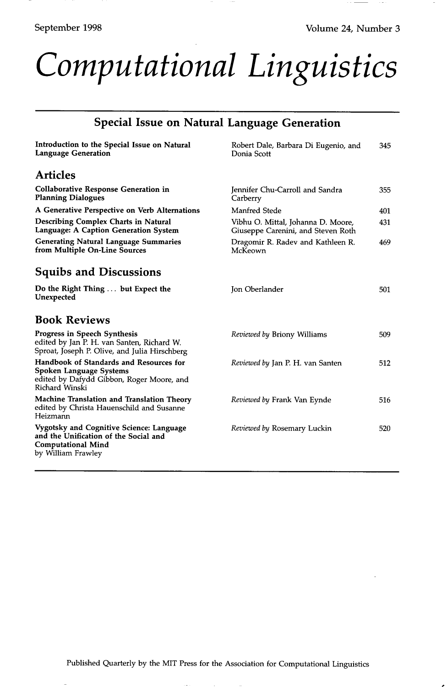## *Computational Linguistics*

| <b>Special Issue on Natural Language Generation</b>                                                                                  |                                                                          |     |
|--------------------------------------------------------------------------------------------------------------------------------------|--------------------------------------------------------------------------|-----|
| Introduction to the Special Issue on Natural<br><b>Language Generation</b>                                                           | Robert Dale, Barbara Di Eugenio, and<br>Donia Scott                      | 345 |
| <b>Articles</b>                                                                                                                      |                                                                          |     |
| <b>Collaborative Response Generation in</b><br><b>Planning Dialogues</b>                                                             | Jennifer Chu-Carroll and Sandra<br>Carberry                              | 355 |
| A Generative Perspective on Verb Alternations                                                                                        | Manfred Stede                                                            | 401 |
| Describing Complex Charts in Natural<br>Language: A Caption Generation System                                                        | Vibhu O. Mittal, Johanna D. Moore,<br>Giuseppe Carenini, and Steven Roth | 431 |
| <b>Generating Natural Language Summaries</b><br>from Multiple On-Line Sources                                                        | Dragomir R. Radev and Kathleen R.<br>McKeown                             | 469 |
| <b>Squibs and Discussions</b>                                                                                                        |                                                                          |     |
| Do the Right Thing  but Expect the<br>Unexpected                                                                                     | Jon Oberlander                                                           | 501 |
| <b>Book Reviews</b>                                                                                                                  |                                                                          |     |
| Progress in Speech Synthesis<br>edited by Jan P. H. van Santen, Richard W.<br>Sproat, Joseph P. Olive, and Julia Hirschberg          | Reviewed by Briony Williams                                              | 509 |
| Handbook of Standards and Resources for<br>Spoken Language Systems<br>edited by Dafydd Gibbon, Roger Moore, and<br>Richard Winski    | Reviewed by Jan P. H. van Santen                                         | 512 |
| Machine Translation and Translation Theory<br>edited by Christa Hauenschild and Susanne<br>Heizmann                                  | Reviewed by Frank Van Eynde                                              | 516 |
| Vygotsky and Cognitive Science: Language<br>and the Unification of the Social and<br><b>Computational Mind</b><br>by William Frawley | Reviewed by Rosemary Luckin                                              | 520 |

Published Quarterly by the MIT Press for the Association for Computational Linguistics